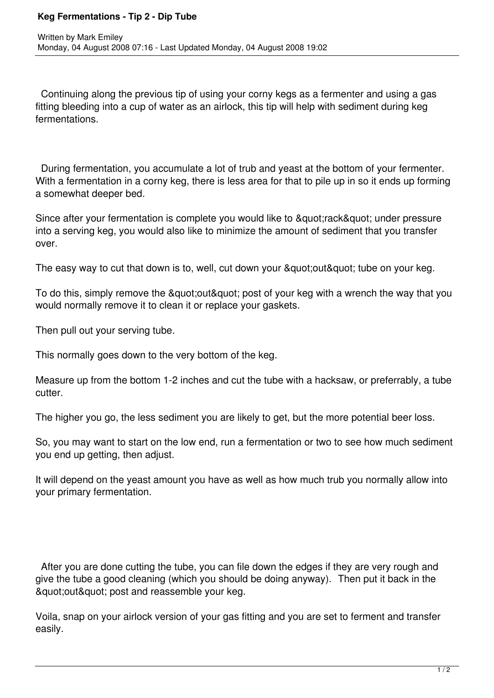## **Keg Fermentations - Tip 2 - Dip Tube**

 Continuing along the previous tip of using your corny kegs as a fermenter and using a gas fitting bleeding into a cup of water as an airlock, this tip will help with sediment during keg fermentations.

 During fermentation, you accumulate a lot of trub and yeast at the bottom of your fermenter. With a fermentation in a corny keg, there is less area for that to pile up in so it ends up forming a somewhat deeper bed.

Since after your fermentation is complete you would like to " rack" under pressure into a serving keg, you would also like to minimize the amount of sediment that you transfer over.

The easy way to cut that down is to, well, cut down your & quot; out & quot; tube on your keg.

To do this, simply remove the " out & quot; post of your keg with a wrench the way that you would normally remove it to clean it or replace your gaskets.

Then pull out your serving tube.

This normally goes down to the very bottom of the keg.

Measure up from the bottom 1-2 inches and cut the tube with a hacksaw, or preferrably, a tube cutter.

The higher you go, the less sediment you are likely to get, but the more potential beer loss.

So, you may want to start on the low end, run a fermentation or two to see how much sediment you end up getting, then adjust.

It will depend on the yeast amount you have as well as how much trub you normally allow into your primary fermentation.

 After you are done cutting the tube, you can file down the edges if they are very rough and give the tube a good cleaning (which you should be doing anyway). Then put it back in the & quot; out & quot; post and reassemble your keg.

Voila, snap on your airlock version of your gas fitting and you are set to ferment and transfer easily.